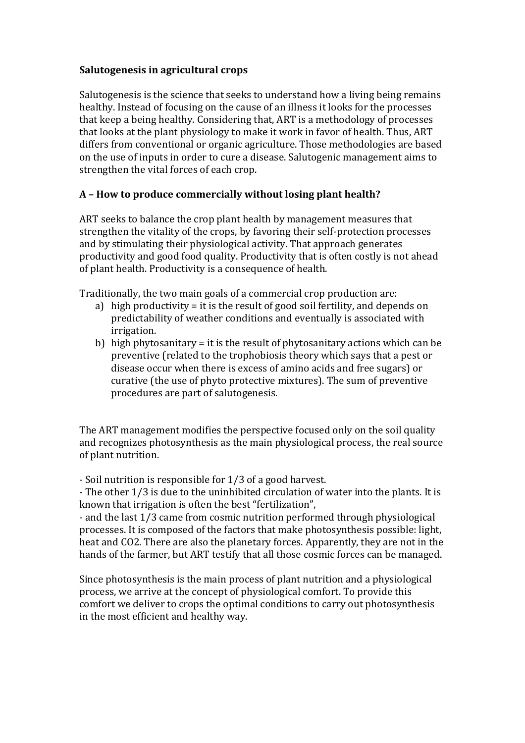#### **Salutogenesis in agricultural crops**

Salutogenesis is the science that seeks to understand how a living being remains healthy. Instead of focusing on the cause of an illness it looks for the processes that keep a being healthy. Considering that, ART is a methodology of processes that looks at the plant physiology to make it work in favor of health. Thus, ART differs from conventional or organic agriculture. Those methodologies are based on the use of inputs in order to cure a disease. Salutogenic management aims to strengthen the vital forces of each crop.

### **A – How to produce commercially without losing plant health?**

ART seeks to balance the crop plant health by management measures that strengthen the vitality of the crops, by favoring their self-protection processes and by stimulating their physiological activity. That approach generates productivity and good food quality. Productivity that is often costly is not ahead of plant health. Productivity is a consequence of health.

Traditionally, the two main goals of a commercial crop production are:

- a) high productivity = it is the result of good soil fertility, and depends on predictability of weather conditions and eventually is associated with irrigation.
- b) high phytosanitary = it is the result of phytosanitary actions which can be preventive (related to the trophobiosis theory which says that a pest or disease occur when there is excess of amino acids and free sugars) or curative (the use of phyto protective mixtures). The sum of preventive procedures are part of salutogenesis.

The ART management modifies the perspective focused only on the soil quality and recognizes photosynthesis as the main physiological process, the real source of plant nutrition.

- Soil nutrition is responsible for 1/3 of a good harvest.

- The other 1/3 is due to the uninhibited circulation of water into the plants. It is known that irrigation is often the best "fertilization",

- and the last 1/3 came from cosmic nutrition performed through physiological processes. It is composed of the factors that make photosynthesis possible: light, heat and CO2. There are also the planetary forces. Apparently, they are not in the hands of the farmer, but ART testify that all those cosmic forces can be managed.

Since photosynthesis is the main process of plant nutrition and a physiological process, we arrive at the concept of physiological comfort. To provide this comfort we deliver to crops the optimal conditions to carry out photosynthesis in the most efficient and healthy way.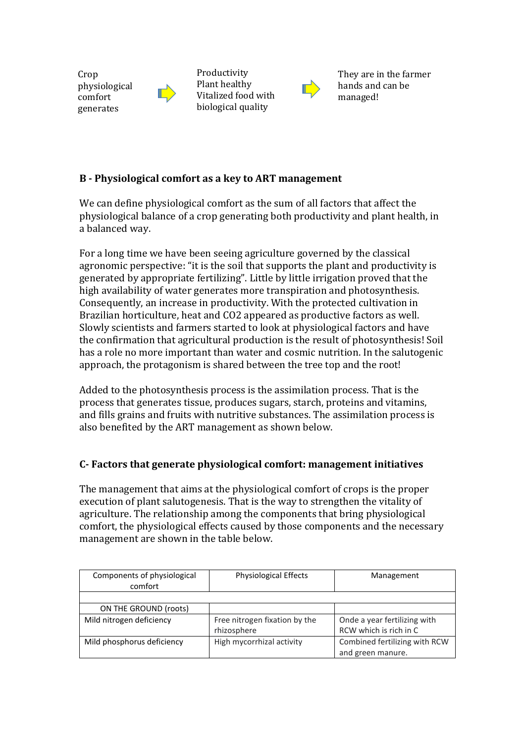**Crop** physiological comfort generates



Productivity Plant healthy Vitalized food with biological quality



They are in the farmer hands and can be managed!

# **B - Physiological comfort as a key to ART management**

We can define physiological comfort as the sum of all factors that affect the physiological balance of a crop generating both productivity and plant health, in a balanced way.

For a long time we have been seeing agriculture governed by the classical agronomic perspective: "it is the soil that supports the plant and productivity is generated by appropriate fertilizing". Little by little irrigation proved that the high availability of water generates more transpiration and photosynthesis. Consequently, an increase in productivity. With the protected cultivation in Brazilian horticulture, heat and CO2 appeared as productive factors as well. Slowly scientists and farmers started to look at physiological factors and have the confirmation that agricultural production is the result of photosynthesis! Soil has a role no more important than water and cosmic nutrition. In the salutogenic approach, the protagonism is shared between the tree top and the root!

Added to the photosynthesis process is the assimilation process. That is the process that generates tissue, produces sugars, starch, proteins and vitamins, and fills grains and fruits with nutritive substances. The assimilation process is also benefited by the ART management as shown below.

# **C- Factors that generate physiological comfort: management initiatives**

The management that aims at the physiological comfort of crops is the proper execution of plant salutogenesis. That is the way to strengthen the vitality of agriculture. The relationship among the components that bring physiological comfort, the physiological effects caused by those components and the necessary management are shown in the table below.

| Components of physiological<br>comfort | <b>Physiological Effects</b>  | Management                    |
|----------------------------------------|-------------------------------|-------------------------------|
|                                        |                               |                               |
| ON THE GROUND (roots)                  |                               |                               |
| Mild nitrogen deficiency               | Free nitrogen fixation by the | Onde a year fertilizing with  |
|                                        | rhizosphere                   | RCW which is rich in C        |
| Mild phosphorus deficiency             | High mycorrhizal activity     | Combined fertilizing with RCW |
|                                        |                               | and green manure.             |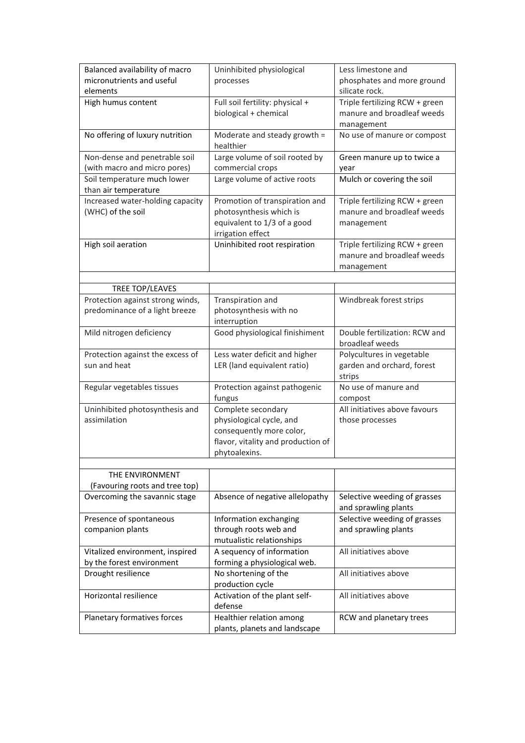| Balanced availability of macro   | Uninhibited physiological                                 | Less limestone and             |
|----------------------------------|-----------------------------------------------------------|--------------------------------|
| micronutrients and useful        | processes                                                 | phosphates and more ground     |
| elements                         |                                                           | silicate rock.                 |
| High humus content               | Full soil fertility: physical +                           | Triple fertilizing RCW + green |
|                                  | biological + chemical                                     | manure and broadleaf weeds     |
|                                  |                                                           | management                     |
| No offering of luxury nutrition  | Moderate and steady growth =                              | No use of manure or compost    |
|                                  | healthier                                                 |                                |
| Non-dense and penetrable soil    | Large volume of soil rooted by                            | Green manure up to twice a     |
| (with macro and micro pores)     | commercial crops                                          | year                           |
| Soil temperature much lower      | Large volume of active roots                              | Mulch or covering the soil     |
| than air temperature             |                                                           |                                |
| Increased water-holding capacity | Promotion of transpiration and                            | Triple fertilizing RCW + green |
| (WHC) of the soil                | photosynthesis which is                                   | manure and broadleaf weeds     |
|                                  | equivalent to 1/3 of a good                               | management                     |
|                                  | irrigation effect                                         |                                |
| High soil aeration               | Uninhibited root respiration                              | Triple fertilizing RCW + green |
|                                  |                                                           | manure and broadleaf weeds     |
|                                  |                                                           |                                |
|                                  |                                                           | management                     |
|                                  |                                                           |                                |
| TREE TOP/LEAVES                  |                                                           |                                |
| Protection against strong winds, | Transpiration and                                         | Windbreak forest strips        |
| predominance of a light breeze   | photosynthesis with no                                    |                                |
|                                  | interruption                                              |                                |
| Mild nitrogen deficiency         | Good physiological finishiment                            | Double fertilization: RCW and  |
|                                  |                                                           | broadleaf weeds                |
|                                  |                                                           |                                |
| Protection against the excess of | Less water deficit and higher                             | Polycultures in vegetable      |
| sun and heat                     | LER (land equivalent ratio)                               | garden and orchard, forest     |
|                                  |                                                           | strips                         |
| Regular vegetables tissues       | Protection against pathogenic                             | No use of manure and           |
|                                  | fungus                                                    | compost                        |
| Uninhibited photosynthesis and   | Complete secondary                                        | All initiatives above favours  |
| assimilation                     | physiological cycle, and                                  | those processes                |
|                                  | consequently more color,                                  |                                |
|                                  | flavor, vitality and production of                        |                                |
|                                  | phytoalexins.                                             |                                |
|                                  |                                                           |                                |
| THE ENVIRONMENT                  |                                                           |                                |
| (Favouring roots and tree top)   |                                                           |                                |
| Overcoming the savannic stage    | Absence of negative allelopathy                           | Selective weeding of grasses   |
|                                  |                                                           | and sprawling plants           |
| Presence of spontaneous          | Information exchanging                                    | Selective weeding of grasses   |
| companion plants                 | through roots web and                                     | and sprawling plants           |
|                                  | mutualistic relationships                                 |                                |
| Vitalized environment, inspired  | A sequency of information                                 | All initiatives above          |
| by the forest environment        | forming a physiological web.                              |                                |
|                                  | No shortening of the                                      | All initiatives above          |
| Drought resilience               |                                                           |                                |
| Horizontal resilience            | production cycle                                          | All initiatives above          |
|                                  | Activation of the plant self-                             |                                |
|                                  | defense                                                   |                                |
| Planetary formatives forces      | Healthier relation among<br>plants, planets and landscape | RCW and planetary trees        |